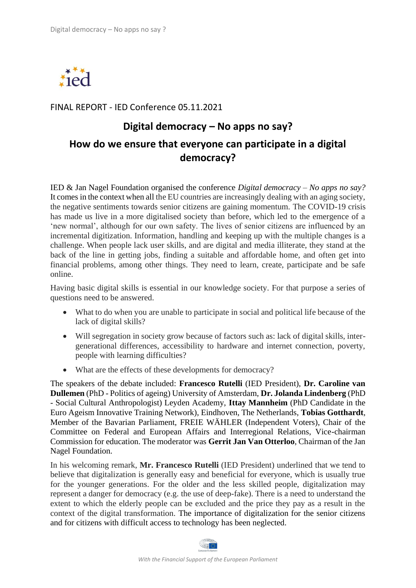

## FINAL REPORT - IED Conference 05.11.2021

## **Digital democracy – No apps no say?**

## **How do we ensure that everyone can participate in a digital democracy?**

IED & Jan Nagel Foundation organised the conference *Digital democracy – No apps no say?* It comes in the context when all the EU countries are increasingly dealing with an aging society, the negative sentiments towards senior citizens are gaining momentum. The COVID-19 crisis has made us live in a more digitalised society than before, which led to the emergence of a 'new normal', although for our own safety. The lives of senior citizens are influenced by an incremental digitization. Information, handling and keeping up with the multiple changes is a challenge. When people lack user skills, and are digital and media illiterate, they stand at the back of the line in getting jobs, finding a suitable and affordable home, and often get into financial problems, among other things. They need to learn, create, participate and be safe online.

Having basic digital skills is essential in our knowledge society. For that purpose a series of questions need to be answered.

- What to do when you are unable to participate in social and political life because of the lack of digital skills?
- Will segregation in society grow because of factors such as: lack of digital skills, intergenerational differences, accessibility to hardware and internet connection, poverty, people with learning difficulties?
- What are the effects of these developments for democracy?

The speakers of the debate included: **Francesco Rutelli** (IED President), **Dr. Caroline van Dullemen** (PhD - Politics of ageing) University of Amsterdam, **Dr. Jolanda Lindenberg** (PhD - Social Cultural Anthropologist) Leyden Academy, **Ittay Mannheim** (PhD Candidate in the Euro Ageism Innovative Training Network), Eindhoven, The Netherlands, **Tobias Gotthardt**, Member of the Bavarian Parliament, FREIE WÄHLER (Independent Voters), Chair of the Committee on Federal and European Affairs and Interregional Relations, Vice-chairman Commission for education. The moderator was **Gerrit Jan Van Otterloo**, Chairman of the Jan Nagel Foundation.

In his welcoming remark, **Mr. Francesco Rutelli** (IED President) underlined that we tend to believe that digitalization is generally easy and beneficial for everyone, which is usually true for the younger generations. For the older and the less skilled people, digitalization may represent a danger for democracy (e.g. the use of deep-fake). There is a need to understand the extent to which the elderly people can be excluded and the price they pay as a result in the context of the digital transformation. The importance of digitalization for the senior citizens and for citizens with difficult access to technology has been neglected.

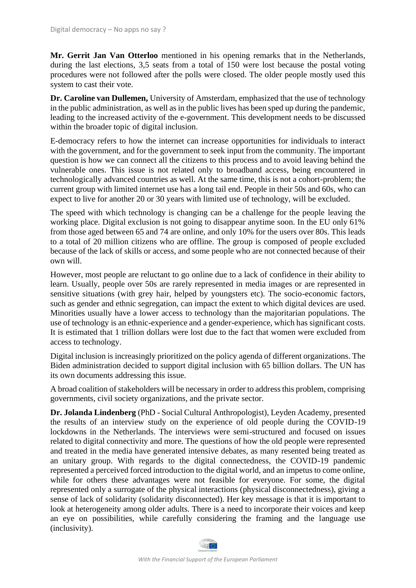**Mr. Gerrit Jan Van Otterloo** mentioned in his opening remarks that in the Netherlands, during the last elections, 3,5 seats from a total of 150 were lost because the postal voting procedures were not followed after the polls were closed. The older people mostly used this system to cast their vote.

**Dr. Caroline van Dullemen,** University of Amsterdam, emphasized that the use of technology in the public administration, as well as in the public lives has been sped up during the pandemic, leading to the increased activity of the e-government. This development needs to be discussed within the broader topic of digital inclusion.

E-democracy refers to how the internet can increase opportunities for individuals to interact with the government, and for the government to seek input from the community. The important question is how we can connect all the citizens to this process and to avoid leaving behind the vulnerable ones. This issue is not related only to broadband access, being encountered in technologically advanced countries as well. At the same time, this is not a cohort-problem; the current group with limited internet use has a long tail end. People in their 50s and 60s, who can expect to live for another 20 or 30 years with limited use of technology, will be excluded.

The speed with which technology is changing can be a challenge for the people leaving the working place. Digital exclusion is not going to disappear anytime soon. In the EU only 61% from those aged between 65 and 74 are online, and only 10% for the users over 80s. This leads to a total of 20 million citizens who are offline. The group is composed of people excluded because of the lack of skills or access, and some people who are not connected because of their own will.

However, most people are reluctant to go online due to a lack of confidence in their ability to learn. Usually, people over 50s are rarely represented in media images or are represented in sensitive situations (with grey hair, helped by youngsters etc). The socio-economic factors, such as gender and ethnic segregation, can impact the extent to which digital devices are used. Minorities usually have a lower access to technology than the majoritarian populations. The use of technology is an ethnic-experience and a gender-experience, which has significant costs. It is estimated that 1 trillion dollars were lost due to the fact that women were excluded from access to technology.

Digital inclusion is increasingly prioritized on the policy agenda of different organizations. The Biden administration decided to support digital inclusion with 65 billion dollars. The UN has its own documents addressing this issue.

A broad coalition of stakeholders will be necessary in order to address this problem, comprising governments, civil society organizations, and the private sector.

**Dr. Jolanda Lindenberg** (PhD - Social Cultural Anthropologist), Leyden Academy, presented the results of an interview study on the experience of old people during the COVID-19 lockdowns in the Netherlands. The interviews were semi-structured and focused on issues related to digital connectivity and more. The questions of how the old people were represented and treated in the media have generated intensive debates, as many resented being treated as an unitary group. With regards to the digital connectedness, the COVID-19 pandemic represented a perceived forced introduction to the digital world, and an impetus to come online, while for others these advantages were not feasible for everyone. For some, the digital represented only a surrogate of the physical interactions (physical disconnectedness), giving a sense of lack of solidarity (solidarity disconnected). Her key message is that it is important to look at heterogeneity among older adults. There is a need to incorporate their voices and keep an eye on possibilities, while carefully considering the framing and the language use (inclusivity).

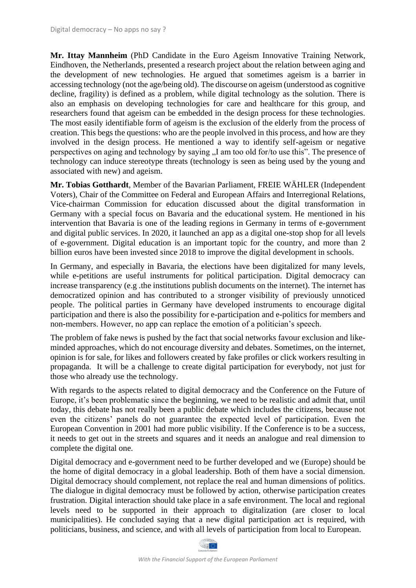**Mr. Ittay Mannheim** (PhD Candidate in the Euro Ageism Innovative Training Network, Eindhoven, the Netherlands, presented a research project about the relation between aging and the development of new technologies. He argued that sometimes ageism is a barrier in accessing technology (not the age/being old). The discourse on ageism (understood as cognitive decline, fragility) is defined as a problem, while digital technology as the solution. There is also an emphasis on developing technologies for care and healthcare for this group, and researchers found that ageism can be embedded in the design process for these technologies. The most easily identifiable form of ageism is the exclusion of the elderly from the process of creation. This begs the questions: who are the people involved in this process, and how are they involved in the design process. He mentioned a way to identify self-ageism or negative perspectives on aging and technology by saying "I am too old for/to use this". The presence of technology can induce stereotype threats (technology is seen as being used by the young and associated with new) and ageism.

**Mr. Tobias Gotthardt**, Member of the Bavarian Parliament, FREIE WÄHLER (Independent Voters), Chair of the Committee on Federal and European Affairs and Interregional Relations, Vice-chairman Commission for education discussed about the digital transformation in Germany with a special focus on Bavaria and the educational system. He mentioned in his intervention that Bavaria is one of the leading regions in Germany in terms of e-government and digital public services. In 2020, it launched an app as a digital one-stop shop for all levels of e-government. Digital education is an important topic for the country, and more than 2 billion euros have been invested since 2018 to improve the digital development in schools.

In Germany, and especially in Bavaria, the elections have been digitalized for many levels, while e-petitions are useful instruments for political participation. Digital democracy can increase transparency (e.g .the institutions publish documents on the internet). The internet has democratized opinion and has contributed to a stronger visibility of previously unnoticed people. The political parties in Germany have developed instruments to encourage digital participation and there is also the possibility for e-participation and e-politics for members and non-members. However, no app can replace the emotion of a politician's speech.

The problem of fake news is pushed by the fact that social networks favour exclusion and likeminded approaches, which do not encourage diversity and debates. Sometimes, on the internet, opinion is for sale, for likes and followers created by fake profiles or click workers resulting in propaganda. It will be a challenge to create digital participation for everybody, not just for those who already use the technology.

With regards to the aspects related to digital democracy and the Conference on the Future of Europe, it's been problematic since the beginning, we need to be realistic and admit that, until today, this debate has not really been a public debate which includes the citizens, because not even the citizens' panels do not guarantee the expected level of participation. Even the European Convention in 2001 had more public visibility. If the Conference is to be a success, it needs to get out in the streets and squares and it needs an analogue and real dimension to complete the digital one.

Digital democracy and e-government need to be further developed and we (Europe) should be the home of digital democracy in a global leadership. Both of them have a social dimension. Digital democracy should complement, not replace the real and human dimensions of politics. The dialogue in digital democracy must be followed by action, otherwise participation creates frustration. Digital interaction should take place in a safe environment. The local and regional levels need to be supported in their approach to digitalization (are closer to local municipalities). He concluded saying that a new digital participation act is required, with politicians, business, and science, and with all levels of participation from local to European.